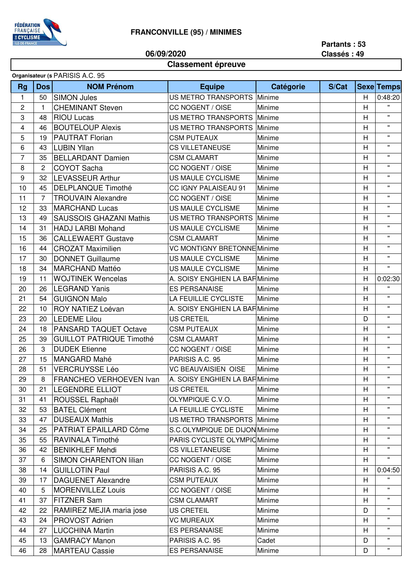

**Classement épreuve**

**06/09/2020**

## **Partants : 53 Classés : 49**

## **Organisateur (s) PARISIS A.C. 95**

| <b>Rg</b>               | Dos            | organisatcar (9 F.M. HOIO A.O. 99<br><b>NOM Prénom</b> | <b>Equipe</b>                      | Catégorie | S/Cat |   | <b>Sexe Temps</b>  |
|-------------------------|----------------|--------------------------------------------------------|------------------------------------|-----------|-------|---|--------------------|
| $\mathbf{1}$            | 50             | <b>SIMON Jules</b>                                     | US METRO TRANSPORTS Minime         |           |       | H | 0:48:20            |
| $\overline{\mathbf{c}}$ | $\mathbf{1}$   | <b>CHEMINANT Steven</b>                                | CC NOGENT / OISE                   | Minime    |       | н | $\mathbf{H}$       |
| 3                       | 48             | <b>RIOU Lucas</b>                                      | US METRO TRANSPORTS Minime         |           |       | H | $\mathbf{H}$       |
| $\overline{\mathbf{4}}$ | 46             | <b>BOUTELOUP Alexis</b>                                | US METRO TRANSPORTS Minime         |           |       | H | $\mathbf{H}$       |
| 5                       | 19             | <b>PAUTRAT Florian</b>                                 | <b>CSM PUTEAUX</b>                 | Minime    |       | H | $\pmb{\mathsf{H}}$ |
| 6                       | 43             | <b>LUBIN Yllan</b>                                     | <b>CS VILLETANEUSE</b>             | Minime    |       | H | $\mathbf{H}$       |
| $\overline{7}$          | 35             | <b>BELLARDANT Damien</b>                               | <b>CSM CLAMART</b>                 | Minime    |       | H | $\mathbf{H}$       |
| 8                       | $\overline{2}$ | <b>COYOT Sacha</b>                                     | CC NOGENT / OISE                   | Minime    |       | H | $\mathbf{H}$       |
| 9                       | 32             | LEVASSEUR Arthur                                       | US MAULE CYCLISME                  | Minime    |       | н | $\mathbf{u}$       |
| 10                      | 45             | <b>DELPLANQUE Timothé</b>                              | CC IGNY PALAISEAU 91               | Minime    |       | H | $\mathbf{H}$       |
| 11                      | $\overline{7}$ | <b>TROUVAIN Alexandre</b>                              | CC NOGENT / OISE                   | Minime    |       | H | $\mathbf{H}$       |
| 12                      | 33             | <b>MARCHAND Lucas</b>                                  | US MAULE CYCLISME                  | Minime    |       | н | $\mathbf{H}$       |
| 13                      | 49             | <b>SAUSSOIS GHAZANI Mathis</b>                         | <b>US METRO TRANSPORTS Minime</b>  |           |       | H | $\mathbf{u}$       |
| 14                      | 31             | <b>HADJ LARBI Mohand</b>                               | US MAULE CYCLISME                  | Minime    |       | H | $\mathbf{H}$       |
| 15                      | 36             | <b>CALLEWAERT Gustave</b>                              | <b>CSM CLAMART</b>                 | Minime    |       | H | $\mathbf{H}$       |
| 16                      | 44             | <b>CROZAT Maximilien</b>                               | <b>VC MONTIGNY BRETONNE Minime</b> |           |       | H | $\mathbf{H}$       |
| 17                      | 30             | <b>DONNET Guillaume</b>                                | US MAULE CYCLISME                  | Minime    |       | H | $\mathbf{H}$       |
| 18                      | 34             | <b>MARCHAND Mattéo</b>                                 | US MAULE CYCLISME                  | Minime    |       | Н | $\mathbf{H}$       |
| 19                      | 11             | <b>WOJTINEK Wencelas</b>                               | A. SOISY ENGHIEN LA BAF Minime     |           |       | Н | 0:02:30            |
| 20                      | 26             | <b>LEGRAND Yanis</b>                                   | <b>ES PERSANAISE</b>               | Minime    |       | H | $\mathbf{u}$       |
| 21                      | 54             | <b>GUIGNON Malo</b>                                    | LA FEUILLIE CYCLISTE               | Minime    |       | Н | $\mathbf{H}$       |
| 22                      | 10             | ROY NATIEZ Loévan                                      | A. SOISY ENGHIEN LA BAF Minime     |           |       | H | $\mathbf{H}$       |
| 23                      | 20             | <b>LEDEME Lilou</b>                                    | <b>US CRETEIL</b>                  | Minime    |       | D | $\mathbf{H}$       |
| 24                      | 18             | <b>PANSARD TAQUET Octave</b>                           | <b>CSM PUTEAUX</b>                 | Minime    |       | н | $\mathbf{H}$       |
| 25                      | 39             | <b>GUILLOT PATRIQUE Timothé</b>                        | <b>CSM CLAMART</b>                 | Minime    |       | H | $\mathbf{H}$       |
| 26                      | 3              | <b>DUDEK Etienne</b>                                   | CC NOGENT / OISE                   | Minime    |       | н | $\mathbf{H}$       |
| 27                      | 15             | <b>MANGARD Mahé</b>                                    | PARISIS A.C. 95                    | Minime    |       | H | $\mathbf{H}$       |
| 28                      | 51             | <b>VERCRUYSSE Léo</b>                                  | <b>VC BEAUVAISIEN OISE</b>         | Minime    |       | H | $\mathbf{H}$       |
| 29                      | 8              | FRANCHEO VERHOEVEN Ivan                                | A. SOISY ENGHIEN LA BAF Minime     |           |       | H | $\mathbf{H}$       |
| 30                      |                | 21 LEGENDRE ELLIOT                                     | US CRETEIL                         | Minime    |       | H | $\mathbf{u}$       |
| 31                      | 41             | ROUSSEL Raphaël                                        | OLYMPIQUE C.V.O.                   | Minime    |       | H | $\mathbf{H}$       |
| 32                      | 53             | <b>BATEL Clément</b>                                   | LA FEUILLIE CYCLISTE               | Minime    |       | H | $\mathbf{H}$       |
| 33                      | 47             | <b>DUSEAUX Mathis</b>                                  | US METRO TRANSPORTS Minime         |           |       | н | $\mathbf{H}$       |
| 34                      | 25             | PATRIAT EPAILLARD Côme                                 | S.C.OLYMPIQUE DE DIJON Minime      |           |       | н | $\pmb{\mathsf{H}}$ |
| 35                      | 55             | RAVINALA Timothé                                       | PARIS CYCLISTE OLYMPIC Minime      |           |       | н | $\pmb{\mathsf{H}}$ |
| 36                      | 42             | <b>BENIKHLEF Mehdi</b>                                 | <b>CS VILLETANEUSE</b>             | Minime    |       | H | $\pmb{\mathsf{H}}$ |
| 37                      | 6              | <b>SIMON CHARENTON lilian</b>                          | CC NOGENT / OISE                   | Minime    |       | Н | $\pmb{\mathsf{H}}$ |
| 38                      | 14             | <b>GUILLOTIN Paul</b>                                  | PARISIS A.C. 95                    | Minime    |       | Н | 0:04:50            |
| 39                      | 17             | <b>DAGUENET Alexandre</b>                              | <b>CSM PUTEAUX</b>                 | Minime    |       | H | $\mathbf{H}$       |
| 40                      | 5              | <b>MORENVILLEZ Louis</b>                               | CC NOGENT / OISE                   | Minime    |       | Н | $\mathbf{H}$       |
| 41                      | 37             | <b>FITZNER Sam</b>                                     | <b>CSM CLAMART</b>                 | Minime    |       | H | $\pmb{\mathsf{H}}$ |
| 42                      | 22             | RAMIREZ MEJIA maria jose                               | <b>US CRETEIL</b>                  | Minime    |       | D | $\mathbf{H}$       |
| 43                      | 24             | <b>PROVOST Adrien</b>                                  | <b>VC MUREAUX</b>                  | Minime    |       | н | $\pmb{\mathsf{H}}$ |
| 44                      | 27             | <b>LUCCHINA Martin</b>                                 | <b>ES PERSANAISE</b>               | Minime    |       | H | $\pmb{\mathsf{H}}$ |
| 45                      | 13             | <b>GAMRACY Manon</b>                                   | PARISIS A.C. 95                    | Cadet     |       | D | $\mathbf{H}$       |
| 46                      | 28             | <b>MARTEAU Cassie</b>                                  | <b>ES PERSANAISE</b>               | Minime    |       | D | $\pmb{\mathsf{H}}$ |